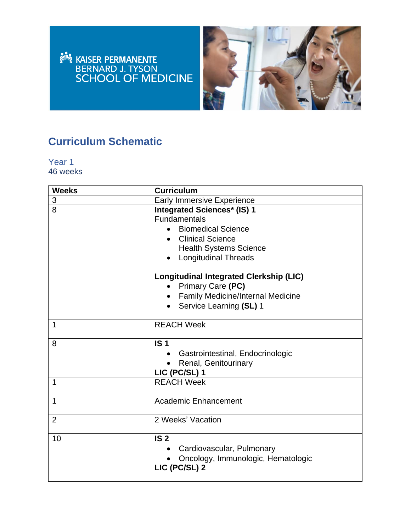



### **Curriculum Schematic**

Year 1 46 weeks

| <b>Weeks</b>   | <b>Curriculum</b>                                                                                                                                                                 |
|----------------|-----------------------------------------------------------------------------------------------------------------------------------------------------------------------------------|
| 3              | <b>Early Immersive Experience</b>                                                                                                                                                 |
| 8              | <b>Integrated Sciences* (IS) 1</b><br><b>Fundamentals</b><br><b>Biomedical Science</b><br><b>Clinical Science</b><br><b>Health Systems Science</b><br><b>Longitudinal Threads</b> |
|                | <b>Longitudinal Integrated Clerkship (LIC)</b><br>Primary Care (PC)<br><b>Family Medicine/Internal Medicine</b><br>Service Learning (SL) 1                                        |
| 1              | <b>REACH Week</b>                                                                                                                                                                 |
| 8              | IS <sub>1</sub><br>Gastrointestinal, Endocrinologic<br>Renal, Genitourinary<br>LIC (PC/SL) 1                                                                                      |
| 1              | <b>REACH Week</b>                                                                                                                                                                 |
| 1              | <b>Academic Enhancement</b>                                                                                                                                                       |
| $\overline{2}$ | 2 Weeks' Vacation                                                                                                                                                                 |
| 10             | IS <sub>2</sub><br>Cardiovascular, Pulmonary<br>Oncology, Immunologic, Hematologic<br>LIC (PC/SL) 2                                                                               |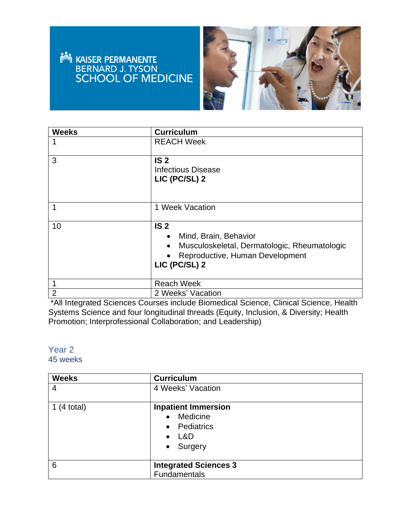## **NASER PERMANENTE<br>BERNARD J. TYSON<br>SCHOOL OF MEDICINE**



| <b>Weeks</b>   | <b>Curriculum</b>                                                                                                                                                      |
|----------------|------------------------------------------------------------------------------------------------------------------------------------------------------------------------|
|                | <b>REACH Week</b>                                                                                                                                                      |
| 3              | IS <sub>2</sub><br><b>Infectious Disease</b><br>LIC (PC/SL) 2                                                                                                          |
| 1              | 1 Week Vacation                                                                                                                                                        |
| 10             | IS <sub>2</sub><br>Mind, Brain, Behavior<br>$\bullet$<br>Musculoskeletal, Dermatologic, Rheumatologic<br>$\bullet$<br>Reproductive, Human Development<br>LIC (PC/SL) 2 |
| 1              | <b>Reach Week</b>                                                                                                                                                      |
| $\overline{2}$ | 2 Weeks' Vacation                                                                                                                                                      |

\*All Integrated Sciences Courses include Biomedical Science, Clinical Science, Health Systems Science and four longitudinal threads (Equity, Inclusion, & Diversity; Health Promotion; Interprofessional Collaboration; and Leadership)

### Year 2

### 45 weeks

| <b>Weeks</b>  | <b>Curriculum</b>            |
|---------------|------------------------------|
| 4             | 4 Weeks' Vacation            |
| 1 $(4$ total) | <b>Inpatient Immersion</b>   |
|               | Medicine<br>$\bullet$        |
|               | Pediatrics<br>$\bullet$      |
|               | L&D<br>$\bullet$             |
|               | Surgery<br>$\bullet$         |
|               |                              |
| 6             | <b>Integrated Sciences 3</b> |
|               | Fundamentals                 |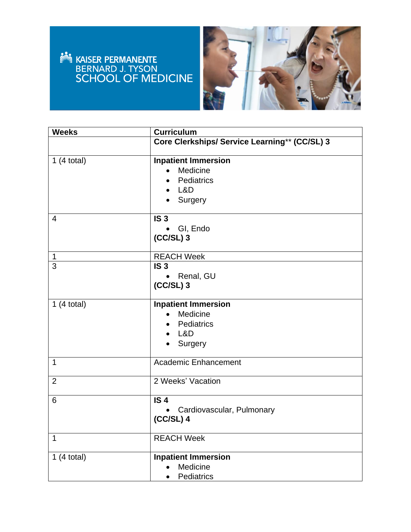# EN ER EN ANTENNE



| <b>Weeks</b>   | <b>Curriculum</b>                                                                      |
|----------------|----------------------------------------------------------------------------------------|
|                | Core Clerkships/ Service Learning** (CC/SL) 3                                          |
| 1(4 total)     | <b>Inpatient Immersion</b><br>Medicine<br>Pediatrics<br>L&D<br>Surgery                 |
| 4              | IS <sub>3</sub><br>GI, Endo<br>$(CC/SL)$ 3                                             |
| 1              | <b>REACH Week</b>                                                                      |
| 3              | IS <sub>3</sub><br>Renal, GU<br>$(CC/SL)$ 3                                            |
| 1(4 total)     | <b>Inpatient Immersion</b><br>Medicine<br>$\bullet$<br>Pediatrics<br>$-L&D$<br>Surgery |
| $\mathbf{1}$   | <b>Academic Enhancement</b>                                                            |
| $\overline{2}$ | 2 Weeks' Vacation                                                                      |
| 6              | IS <sub>4</sub><br>Cardiovascular, Pulmonary<br>$(CC/SL)$ 4                            |
| 1              | <b>REACH Week</b>                                                                      |
| 1(4 total)     | <b>Inpatient Immersion</b><br>Medicine<br>Pediatrics<br>$\bullet$                      |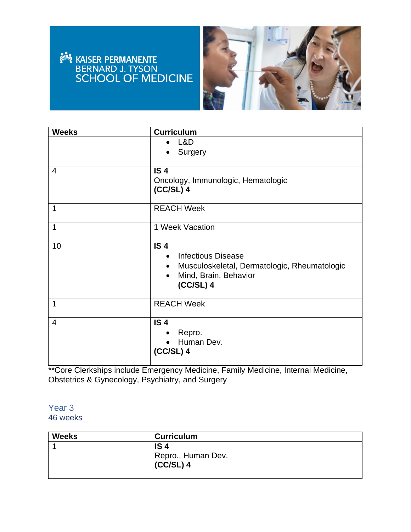## **NASER PERMANENTE<br>BERNARD J. TYSON<br>SCHOOL OF MEDICINE**



| <b>Weeks</b>   | <b>Curriculum</b>                                                                                                                                                           |
|----------------|-----------------------------------------------------------------------------------------------------------------------------------------------------------------------------|
|                | L&D<br>$\bullet$<br>Surgery<br>$\bullet$                                                                                                                                    |
| $\overline{4}$ | IS <sub>4</sub><br>Oncology, Immunologic, Hematologic<br>$(CC/SL)$ 4                                                                                                        |
| $\mathbf 1$    | <b>REACH Week</b>                                                                                                                                                           |
| $\mathbf{1}$   | 1 Week Vacation                                                                                                                                                             |
| 10             | IS <sub>4</sub><br><b>Infectious Disease</b><br>$\bullet$<br>Musculoskeletal, Dermatologic, Rheumatologic<br>$\bullet$<br>Mind, Brain, Behavior<br>$\bullet$<br>$(CC/SL)$ 4 |
| 1              | <b>REACH Week</b>                                                                                                                                                           |
| $\overline{4}$ | IS <sub>4</sub><br>Repro.<br>٠<br>Human Dev.<br>$(CC/SL)$ 4                                                                                                                 |

\*\*Core Clerkships include Emergency Medicine, Family Medicine, Internal Medicine, Obstetrics & Gynecology, Psychiatry, and Surgery

#### Year 3 46 weeks

| <b>Weeks</b> | <b>Curriculum</b>  |
|--------------|--------------------|
|              | IS <sub>4</sub>    |
|              | Repro., Human Dev. |
|              | $(CC/SL)$ 4        |
|              |                    |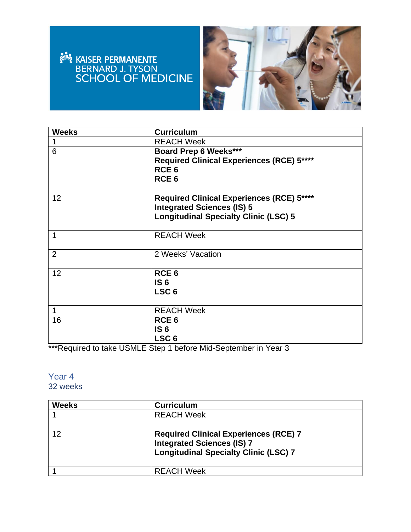# EN ERMANENTE



| <b>Weeks</b>   | <b>Curriculum</b>                                |
|----------------|--------------------------------------------------|
| $\mathbf 1$    | <b>REACH Week</b>                                |
| 6              | <b>Board Prep 6 Weeks***</b>                     |
|                | <b>Required Clinical Experiences (RCE) 5****</b> |
|                | RCE <sub>6</sub>                                 |
|                | RCE <sub>6</sub>                                 |
|                |                                                  |
| 12             | Required Clinical Experiences (RCE) 5****        |
|                | <b>Integrated Sciences (IS) 5</b>                |
|                | <b>Longitudinal Specialty Clinic (LSC) 5</b>     |
|                |                                                  |
| 1              | <b>REACH Week</b>                                |
|                |                                                  |
| $\overline{2}$ | 2 Weeks' Vacation                                |
|                |                                                  |
| 12             | RCE <sub>6</sub>                                 |
|                | IS <sub>6</sub>                                  |
|                | LSC <sub>6</sub>                                 |
|                |                                                  |
| $\mathbf 1$    | <b>REACH Week</b>                                |
| 16             | RCE <sub>6</sub>                                 |
|                | IS <sub>6</sub>                                  |
|                | LSC <sub>6</sub>                                 |

\*\*\*Required to take USMLE Step 1 before Mid-September in Year 3

#### Year 4 32 weeks

| <b>Weeks</b> | <b>Curriculum</b>                                                                                                                 |
|--------------|-----------------------------------------------------------------------------------------------------------------------------------|
|              | <b>REACH Week</b>                                                                                                                 |
|              |                                                                                                                                   |
| $12 \,$      | <b>Required Clinical Experiences (RCE) 7</b><br><b>Integrated Sciences (IS) 7</b><br><b>Longitudinal Specialty Clinic (LSC) 7</b> |
|              | <b>REACH Week</b>                                                                                                                 |